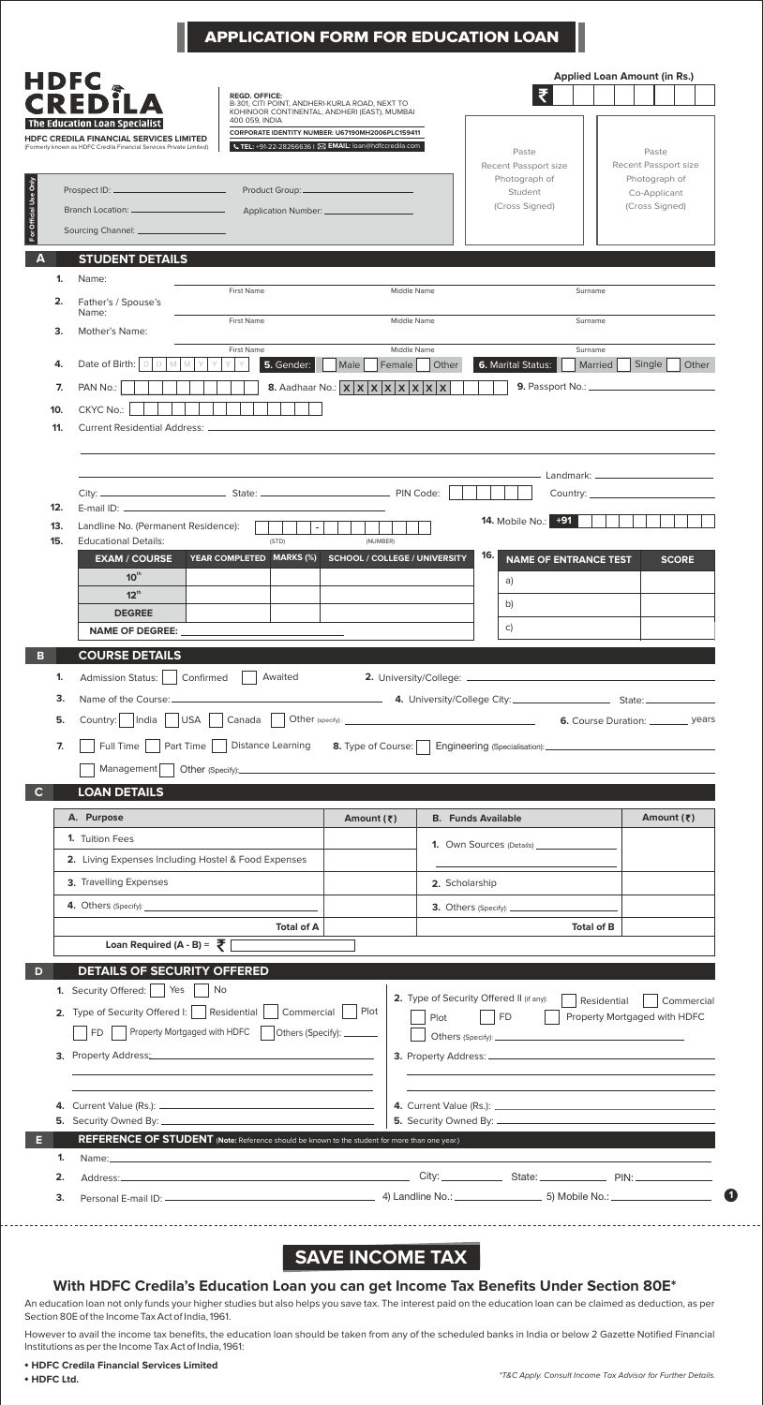|                       |                                                                                                                                                                                                                                          | <b>APPLICATION FORM FOR EDUCATION LOAN</b>                                                                                                                                  |                                                                                                                                                        |                              |                                          |                    |                                      |
|-----------------------|------------------------------------------------------------------------------------------------------------------------------------------------------------------------------------------------------------------------------------------|-----------------------------------------------------------------------------------------------------------------------------------------------------------------------------|--------------------------------------------------------------------------------------------------------------------------------------------------------|------------------------------|------------------------------------------|--------------------|--------------------------------------|
| <b>HDFC</b>           | <b>CREDII</b>                                                                                                                                                                                                                            | <b>REGD, OFFICE:</b><br>B-301, CITI POINT, ANDHERI-KURLA ROAD, NEXT TO                                                                                                      |                                                                                                                                                        |                              |                                          |                    | <b>Applied Loan Amount (in Rs.)</b>  |
|                       | The Education Loan Specialist<br>HDFC CREDILA FINANCIAL SERVICES LIMITED<br>(Formerly known as HDFC Credila Financial Services Private Limited)                                                                                          | KOHINOOR CONTINENTAL, ANDHERI (EAST), MUMBAI<br>400 059, INDIA<br>CORPORATE IDENTITY NUMBER: U67190MH2006PLC159411<br>UTEL: +91-22-28266636   ⊠ EMAIL: loan@hdfccredila.com |                                                                                                                                                        |                              | Paste<br>Recent Passport size            |                    | Paste<br>Recent Passport size        |
|                       | Prospect ID: ____                                                                                                                                                                                                                        | Product Group:___________________                                                                                                                                           |                                                                                                                                                        |                              | Photograph of<br>Student                 |                    | Photograph of<br>Co-Applicant        |
|                       |                                                                                                                                                                                                                                          |                                                                                                                                                                             |                                                                                                                                                        |                              | (Cross Signed)                           |                    | (Cross Signed)                       |
| For Official Use Only |                                                                                                                                                                                                                                          |                                                                                                                                                                             |                                                                                                                                                        |                              |                                          |                    |                                      |
| А                     | <b>STUDENT DETAILS</b>                                                                                                                                                                                                                   |                                                                                                                                                                             |                                                                                                                                                        |                              |                                          |                    |                                      |
| 1.                    | Name:                                                                                                                                                                                                                                    |                                                                                                                                                                             |                                                                                                                                                        |                              |                                          |                    |                                      |
| 2.                    | Father's / Spouse's                                                                                                                                                                                                                      | <b>First Name</b>                                                                                                                                                           | Middle Name                                                                                                                                            |                              |                                          | Surname            |                                      |
|                       | Name:                                                                                                                                                                                                                                    | First Name                                                                                                                                                                  | Middle Name                                                                                                                                            |                              |                                          | Surname            |                                      |
| 3.                    | <b>Mother's Name:</b>                                                                                                                                                                                                                    |                                                                                                                                                                             |                                                                                                                                                        |                              |                                          |                    |                                      |
| 4.                    | Date of Birth:                                                                                                                                                                                                                           | First Name<br>5. Gender:                                                                                                                                                    | Middle Name<br>Male<br>Female                                                                                                                          | Other                        | <b>6. Marital Status:</b>                | Surname<br>Married | Single<br>Other                      |
| 7.                    | PAN No.:                                                                                                                                                                                                                                 |                                                                                                                                                                             | 8. Aadhaar No.: $\mathbf{x} \mathbf{x} \mathbf{x} \mathbf{x} \mathbf{x}$                                                                               | $\mathsf{x}$<br>$\mathsf{x}$ |                                          |                    |                                      |
| 10.                   | CKYC No.:                                                                                                                                                                                                                                |                                                                                                                                                                             |                                                                                                                                                        |                              |                                          |                    |                                      |
| 11.                   | <b>Current Residential Address:</b>                                                                                                                                                                                                      |                                                                                                                                                                             |                                                                                                                                                        |                              |                                          |                    |                                      |
|                       |                                                                                                                                                                                                                                          |                                                                                                                                                                             |                                                                                                                                                        |                              |                                          |                    |                                      |
|                       |                                                                                                                                                                                                                                          |                                                                                                                                                                             |                                                                                                                                                        |                              |                                          |                    |                                      |
|                       |                                                                                                                                                                                                                                          |                                                                                                                                                                             |                                                                                                                                                        |                              |                                          |                    | Country: the country:                |
| 12.                   |                                                                                                                                                                                                                                          |                                                                                                                                                                             |                                                                                                                                                        |                              |                                          |                    |                                      |
| 13.                   | Landline No. (Permanent Residence):                                                                                                                                                                                                      |                                                                                                                                                                             |                                                                                                                                                        |                              | <b>14.</b> Mobile No.: +91               |                    |                                      |
| 15.                   | <b>Educational Details:</b>                                                                                                                                                                                                              | (STD)                                                                                                                                                                       | (NUMBER)                                                                                                                                               |                              |                                          |                    |                                      |
|                       | <b>EXAM / COURSE</b>                                                                                                                                                                                                                     | YEAR COMPLETED MARKS (%)                                                                                                                                                    | <b>SCHOOL / COLLEGE / UNIVERSITY</b>                                                                                                                   |                              | 16.<br><b>NAME OF ENTRANCE TEST</b>      |                    | <b>SCORE</b>                         |
|                       | 10 <sup>th</sup><br>$12^{\text{th}}$                                                                                                                                                                                                     |                                                                                                                                                                             |                                                                                                                                                        |                              | a)                                       |                    |                                      |
|                       | <b>DEGREE</b>                                                                                                                                                                                                                            |                                                                                                                                                                             |                                                                                                                                                        |                              | b)                                       |                    |                                      |
|                       |                                                                                                                                                                                                                                          |                                                                                                                                                                             |                                                                                                                                                        |                              |                                          |                    |                                      |
|                       | NAME OF DEGREE:                                                                                                                                                                                                                          |                                                                                                                                                                             |                                                                                                                                                        |                              | C)                                       |                    |                                      |
|                       |                                                                                                                                                                                                                                          |                                                                                                                                                                             |                                                                                                                                                        |                              |                                          |                    |                                      |
| в                     | <b>COURSE DETAILS</b>                                                                                                                                                                                                                    |                                                                                                                                                                             |                                                                                                                                                        |                              |                                          |                    |                                      |
| 1.                    | <b>Admission Status:</b>                                                                                                                                                                                                                 | Confirmed<br>Awaited                                                                                                                                                        |                                                                                                                                                        |                              |                                          |                    |                                      |
| 3.                    |                                                                                                                                                                                                                                          |                                                                                                                                                                             |                                                                                                                                                        |                              |                                          |                    |                                      |
| 5.                    | Country:     India<br>USA                                                                                                                                                                                                                | $Canada$                                                                                                                                                                    | $\textbf{Other (specify)}:\underline{\hspace{2.5cm}} \qquad \qquad \hspace{2.5cm} \underline{\hspace{2.5cm}} \qquad \qquad \underline{\hspace{2.5cm}}$ |                              |                                          |                    | 6. Course Duration: __________ years |
| 7.                    | Full Time    <br>Part Time                                                                                                                                                                                                               | Distance Learning                                                                                                                                                           | 8. Type of Course:                                                                                                                                     |                              |                                          |                    |                                      |
|                       | Management                                                                                                                                                                                                                               |                                                                                                                                                                             |                                                                                                                                                        |                              |                                          |                    |                                      |
| C                     | <b>LOAN DETAILS</b>                                                                                                                                                                                                                      |                                                                                                                                                                             |                                                                                                                                                        |                              |                                          |                    |                                      |
|                       | A. Purpose                                                                                                                                                                                                                               |                                                                                                                                                                             | Amount (₹)                                                                                                                                             |                              | <b>B.</b> Funds Available                |                    | Amount (₹)                           |
|                       | 1. Tuition Fees                                                                                                                                                                                                                          |                                                                                                                                                                             |                                                                                                                                                        |                              |                                          |                    |                                      |
|                       |                                                                                                                                                                                                                                          |                                                                                                                                                                             |                                                                                                                                                        |                              |                                          |                    |                                      |
|                       | 2. Living Expenses Including Hostel & Food Expenses                                                                                                                                                                                      |                                                                                                                                                                             |                                                                                                                                                        |                              |                                          |                    |                                      |
|                       | 3. Travelling Expenses                                                                                                                                                                                                                   |                                                                                                                                                                             |                                                                                                                                                        | 2. Scholarship               |                                          |                    |                                      |
|                       | <b>4.</b> Others (Specify): <u>Container and Containers</u> and Containers and Containers and Containers and Containers and Containers and Containers and Containers and Containers and Containers and Containers and Containers and Con |                                                                                                                                                                             |                                                                                                                                                        |                              |                                          |                    |                                      |
|                       |                                                                                                                                                                                                                                          | <b>Total of A</b>                                                                                                                                                           |                                                                                                                                                        |                              |                                          | <b>Total of B</b>  |                                      |
|                       | Loan Required (A - B) = $\bar{\bar{\xi}}$                                                                                                                                                                                                |                                                                                                                                                                             |                                                                                                                                                        |                              |                                          |                    |                                      |
|                       | <b>DETAILS OF SECURITY OFFERED</b>                                                                                                                                                                                                       |                                                                                                                                                                             |                                                                                                                                                        |                              |                                          |                    |                                      |
|                       | 1. Security Offered:  <br>Yes                                                                                                                                                                                                            | No                                                                                                                                                                          |                                                                                                                                                        |                              | 2. Type of Security Offered II (if any): | Residential        | Commercial                           |
|                       | 2. Type of Security Offered I:   Residential                                                                                                                                                                                             | Commercial                                                                                                                                                                  | Plot                                                                                                                                                   | Plot                         | $\vert$ FD                               |                    | Property Mortgaged with HDFC         |
|                       | Property Mortgaged with HDFC<br>FD -                                                                                                                                                                                                     | Others (Specify): _______                                                                                                                                                   |                                                                                                                                                        |                              |                                          |                    |                                      |
|                       |                                                                                                                                                                                                                                          | 3. Property Address: 2008 2009 2010 2020 2021 2021 2022 2021 2022 2021 2022 2022 2022 2022 2022 2022 2022 2022                                                              |                                                                                                                                                        |                              |                                          |                    |                                      |
|                       |                                                                                                                                                                                                                                          |                                                                                                                                                                             |                                                                                                                                                        |                              |                                          |                    |                                      |
|                       |                                                                                                                                                                                                                                          |                                                                                                                                                                             |                                                                                                                                                        |                              |                                          |                    |                                      |
|                       |                                                                                                                                                                                                                                          |                                                                                                                                                                             |                                                                                                                                                        |                              |                                          |                    |                                      |
|                       |                                                                                                                                                                                                                                          | REFERENCE OF STUDENT (Note: Reference should be known to the student for more than one year.)                                                                               |                                                                                                                                                        |                              |                                          |                    |                                      |
| 1.                    | Name: Name:                                                                                                                                                                                                                              |                                                                                                                                                                             |                                                                                                                                                        |                              |                                          |                    |                                      |
| 2.                    | Address:_                                                                                                                                                                                                                                |                                                                                                                                                                             |                                                                                                                                                        |                              |                                          |                    |                                      |
| 3.                    |                                                                                                                                                                                                                                          |                                                                                                                                                                             |                                                                                                                                                        |                              |                                          |                    |                                      |

## **SAVE INCOME TAX**

## **With HDFC Credila's Education Loan you can get Income Tax Benefits Under Section 80E\***

An education loan not only funds your higher studies but also helps you save tax. The interest paid on the education loan can be claimed as deduction, as per Section 80E of the Income Tax Act of India, 1961.

However to avail the income tax benefits, the education loan should be taken from any of the scheduled banks in India or below 2 Gazette Notified Financial Institutions as per the Income Tax Act of India, 1961:

## **HDFC Credila Financial Services Limited**

 $-$ 

**1**